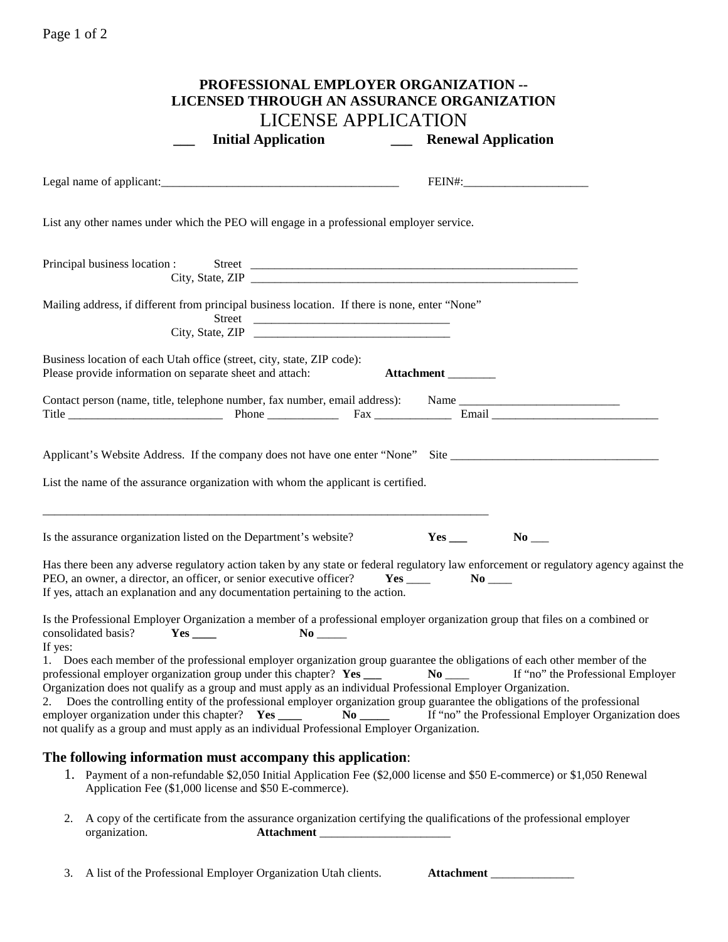## Page 1 of 2

| PROFESSIONAL EMPLOYER ORGANIZATION --<br><b>LICENSED THROUGH AN ASSURANCE ORGANIZATION</b> |                     |                                                                                                                                                                                                                                                                                                                                                                                                                                                                                                                                                                                                    |                                              |                                                                                          |  |
|--------------------------------------------------------------------------------------------|---------------------|----------------------------------------------------------------------------------------------------------------------------------------------------------------------------------------------------------------------------------------------------------------------------------------------------------------------------------------------------------------------------------------------------------------------------------------------------------------------------------------------------------------------------------------------------------------------------------------------------|----------------------------------------------|------------------------------------------------------------------------------------------|--|
|                                                                                            |                     | <b>LICENSE APPLICATION</b>                                                                                                                                                                                                                                                                                                                                                                                                                                                                                                                                                                         |                                              |                                                                                          |  |
|                                                                                            |                     |                                                                                                                                                                                                                                                                                                                                                                                                                                                                                                                                                                                                    |                                              |                                                                                          |  |
|                                                                                            |                     |                                                                                                                                                                                                                                                                                                                                                                                                                                                                                                                                                                                                    |                                              |                                                                                          |  |
|                                                                                            |                     | List any other names under which the PEO will engage in a professional employer service.                                                                                                                                                                                                                                                                                                                                                                                                                                                                                                           |                                              |                                                                                          |  |
|                                                                                            |                     |                                                                                                                                                                                                                                                                                                                                                                                                                                                                                                                                                                                                    |                                              |                                                                                          |  |
|                                                                                            |                     | Mailing address, if different from principal business location. If there is none, enter "None"<br>Street                                                                                                                                                                                                                                                                                                                                                                                                                                                                                           |                                              |                                                                                          |  |
|                                                                                            |                     | Business location of each Utah office (street, city, state, ZIP code):<br>Please provide information on separate sheet and attach:                                                                                                                                                                                                                                                                                                                                                                                                                                                                 | Attachment                                   |                                                                                          |  |
|                                                                                            |                     | Contact person (name, title, telephone number, fax number, email address): Name ______________________________                                                                                                                                                                                                                                                                                                                                                                                                                                                                                     |                                              |                                                                                          |  |
|                                                                                            |                     | List the name of the assurance organization with whom the applicant is certified.                                                                                                                                                                                                                                                                                                                                                                                                                                                                                                                  |                                              |                                                                                          |  |
|                                                                                            |                     | Is the assurance organization listed on the Department's website?                                                                                                                                                                                                                                                                                                                                                                                                                                                                                                                                  |                                              | $No$ <sub>——</sub>                                                                       |  |
|                                                                                            |                     | Has there been any adverse regulatory action taken by any state or federal regulatory law enforcement or regulatory agency against the<br>PEO, an owner, a director, an officer, or senior executive officer?<br>If yes, attach an explanation and any documentation pertaining to the action.                                                                                                                                                                                                                                                                                                     | $Yes$ <sub>____</sub><br>$No$ <sub>___</sub> |                                                                                          |  |
| If yes:                                                                                    | consolidated basis? | Is the Professional Employer Organization a member of a professional employer organization group that files on a combined or                                                                                                                                                                                                                                                                                                                                                                                                                                                                       |                                              |                                                                                          |  |
| 2.                                                                                         |                     | 1. Does each member of the professional employer organization group guarantee the obligations of each other member of the<br>professional employer organization group under this chapter? Yes ___<br>Organization does not qualify as a group and must apply as an individual Professional Employer Organization.<br>Does the controlling entity of the professional employer organization group guarantee the obligations of the professional<br>employer organization under this chapter? Yes ____<br>not qualify as a group and must apply as an individual Professional Employer Organization. | $No$ <sub>____</sub>                         | If "no" the Professional Employer<br>If "no" the Professional Employer Organization does |  |
|                                                                                            |                     | The following information must accompany this application:                                                                                                                                                                                                                                                                                                                                                                                                                                                                                                                                         |                                              |                                                                                          |  |
|                                                                                            |                     | 1. Payment of a non-refundable \$2,050 Initial Application Fee (\$2,000 license and \$50 E-commerce) or \$1,050 Renewal<br>Application Fee (\$1,000 license and \$50 E-commerce).                                                                                                                                                                                                                                                                                                                                                                                                                  |                                              |                                                                                          |  |
| 2.                                                                                         | organization.       | A copy of the certificate from the assurance organization certifying the qualifications of the professional employer<br><b>Attachment</b>                                                                                                                                                                                                                                                                                                                                                                                                                                                          |                                              |                                                                                          |  |

3. A list of the Professional Employer Organization Utah clients. **Attachment** \_\_\_\_\_\_\_\_\_\_\_\_\_\_

| <b>Attachment</b> |  |
|-------------------|--|
|                   |  |